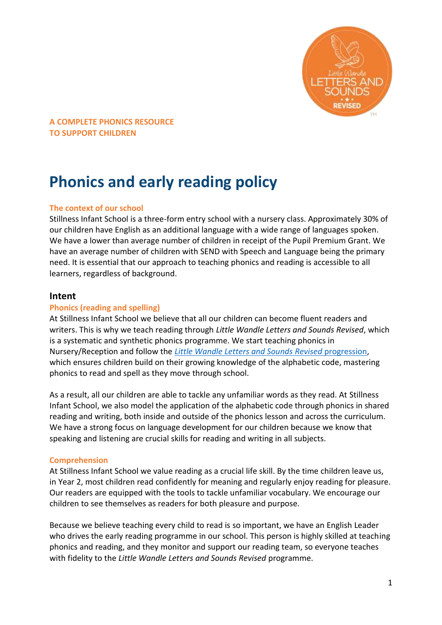

# **Phonics and early reading policy**

#### **The context of our school**

Stillness Infant School is a three-form entry school with a nursery class. Approximately 30% of our children have English as an additional language with a wide range of languages spoken. We have a lower than average number of children in receipt of the Pupil Premium Grant. We have an average number of children with SEND with Speech and Language being the primary need. It is essential that our approach to teaching phonics and reading is accessible to all learners, regardless of background.

## **Intent**

#### **Phonics (reading and spelling)**

At Stillness Infant School we believe that all our children can become fluent readers and writers. This is why we teach reading through *Little Wandle Letters and Sounds Revised*, which is a systematic and synthetic phonics programme. We start teaching phonics in Nursery/Reception and follow the *[Little Wandle Letters and Sounds Revised](https://www.littlewandlelettersandsounds.org.uk/wp-content/uploads/2021/06/Programme-Overview_Reception-and-Year-1.pdf)* progression, which ensures children build on their growing knowledge of the alphabetic code, mastering phonics to read and spell as they move through school.

As a result, all our children are able to tackle any unfamiliar words as they read. At Stillness Infant School, we also model the application of the alphabetic code through phonics in shared reading and writing, both inside and outside of the phonics lesson and across the curriculum. We have a strong focus on language development for our children because we know that speaking and listening are crucial skills for reading and writing in all subjects.

#### **Comprehension**

At Stillness Infant School we value reading as a crucial life skill. By the time children leave us, in Year 2, most children read confidently for meaning and regularly enjoy reading for pleasure. Our readers are equipped with the tools to tackle unfamiliar vocabulary. We encourage our children to see themselves as readers for both pleasure and purpose.

Because we believe teaching every child to read is so important, we have an English Leader who drives the early reading programme in our school. This person is highly skilled at teaching phonics and reading, and they monitor and support our reading team, so everyone teaches with fidelity to the *Little Wandle Letters and Sounds Revised* programme.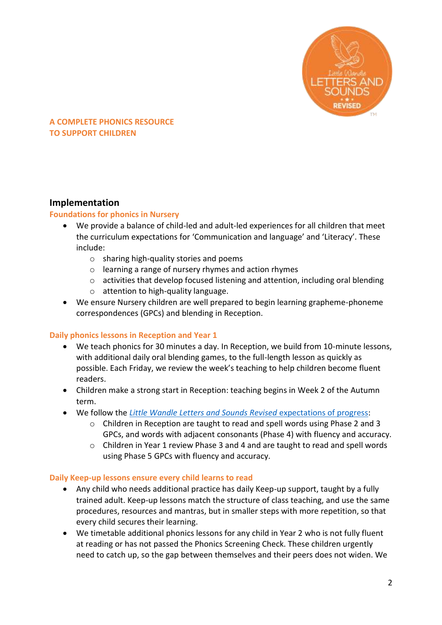

## **Implementation**

#### **Foundations for phonics in Nursery**

- We provide a balance of child-led and adult-led experiences for all children that meet the curriculum expectations for 'Communication and language' and 'Literacy'. These include:
	- o sharing high-quality stories and poems
	- o learning a range of nursery rhymes and action rhymes
	- $\circ$  activities that develop focused listening and attention, including oral blending
	- o attention to high-quality language.
- We ensure Nursery children are well prepared to begin learning grapheme-phoneme correspondences (GPCs) and blending in Reception.

#### **Daily phonics lessons in Reception and Year 1**

- We teach phonics for 30 minutes a day. In Reception, we build from 10-minute lessons, with additional daily oral blending games, to the full-length lesson as quickly as possible. Each Friday, we review the week's teaching to help children become fluent readers.
- Children make a strong start in Reception: teaching begins in Week 2 of the Autumn term.
- We follow the *[Little Wandle Letters and Sounds Revised](https://www.littlewandlelettersandsounds.org.uk/wp-content/uploads/2021/06/Programme-Overview_Reception-and-Year-1.pdf)* expectations of progress:
	- o Children in Reception are taught to read and spell words using Phase 2 and 3 GPCs, and words with adjacent consonants (Phase 4) with fluency and accuracy.
	- $\circ$  Children in Year 1 review Phase 3 and 4 and are taught to read and spell words using Phase 5 GPCs with fluency and accuracy.

#### **Daily Keep-up lessons ensure every child learns to read**

- Any child who needs additional practice has daily Keep-up support, taught by a fully trained adult. Keep-up lessons match the structure of class teaching, and use the same procedures, resources and mantras, but in smaller steps with more repetition, so that every child secures their learning.
- We timetable additional phonics lessons for any child in Year 2 who is not fully fluent at reading or has not passed the Phonics Screening Check. These children urgently need to catch up, so the gap between themselves and their peers does not widen. We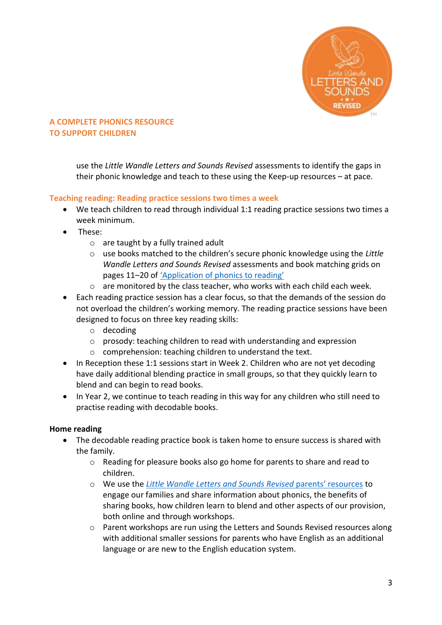

use the *Little Wandle Letters and Sounds Revised* assessments to identify the gaps in their phonic knowledge and teach to these using the Keep-up resources – at pace.

## **Teaching reading: Reading practice sessions two times a week**

- We teach children to read through individual 1:1 reading practice sessions two times a week minimum.
- These:
	- o are taught by a fully trained adult
	- o use books matched to the children's secure phonic knowledge using the *Little Wandle Letters and Sounds Revised* assessments and book matching grids on pages 11–20 of ['Application of phonics to reading'](https://www.littlewandlelettersandsounds.org.uk/wp-content/uploads/2021/03/LS-KEY-GUIDANCE-APPLICATION-OF-PHONICS-FINAL-1.pdf)
	- $\circ$  are monitored by the class teacher, who works with each child each week.
- Each reading practice session has a clear focus, so that the demands of the session do not overload the children's working memory. The reading practice sessions have been designed to focus on three key reading skills:
	- o decoding
	- $\circ$  prosody: teaching children to read with understanding and expression
	- o comprehension: teaching children to understand the text.
- In Reception these 1:1 sessions start in Week 2. Children who are not yet decoding have daily additional blending practice in small groups, so that they quickly learn to blend and can begin to read books.
- In Year 2, we continue to teach reading in this way for any children who still need to practise reading with decodable books.

## **Home reading**

- The decodable reading practice book is taken home to ensure success is shared with the family.
	- o Reading for pleasure books also go home for parents to share and read to children.
	- o We use the *[Little Wandle Letters and Sounds Revised](https://www.littlewandlelettersandsounds.org.uk/resources/for-parents/)* parents' resources to engage our families and share information about phonics, the benefits of sharing books, how children learn to blend and other aspects of our provision, both online and through workshops.
	- o Parent workshops are run using the Letters and Sounds Revised resources along with additional smaller sessions for parents who have English as an additional language or are new to the English education system.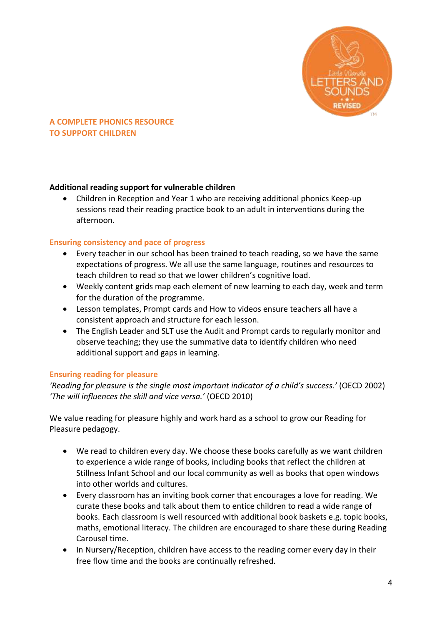

## **Additional reading support for vulnerable children**

• Children in Reception and Year 1 who are receiving additional phonics Keep-up sessions read their reading practice book to an adult in interventions during the afternoon.

#### **Ensuring consistency and pace of progress**

- Every teacher in our school has been trained to teach reading, so we have the same expectations of progress. We all use the same language, routines and resources to teach children to read so that we lower children's cognitive load.
- Weekly content grids map each element of new learning to each day, week and term for the duration of the programme.
- Lesson templates, Prompt cards and How to videos ensure teachers all have a consistent approach and structure for each lesson.
- The English Leader and SLT use the Audit and Prompt cards to regularly monitor and observe teaching; they use the summative data to identify children who need additional support and gaps in learning.

## **Ensuring reading for pleasure**

*'Reading for pleasure is the single most important indicator of a child's success.'* (OECD 2002) *'The will influences the skill and vice versa.'* (OECD 2010)

We value reading for pleasure highly and work hard as a school to grow our Reading for Pleasure pedagogy.

- We read to children every day. We choose these books carefully as we want children to experience a wide range of books, including books that reflect the children at Stillness Infant School and our local community as well as books that open windows into other worlds and cultures.
- Every classroom has an inviting book corner that encourages a love for reading. We curate these books and talk about them to entice children to read a wide range of books. Each classroom is well resourced with additional book baskets e.g. topic books, maths, emotional literacy. The children are encouraged to share these during Reading Carousel time.
- In Nursery/Reception, children have access to the reading corner every day in their free flow time and the books are continually refreshed.